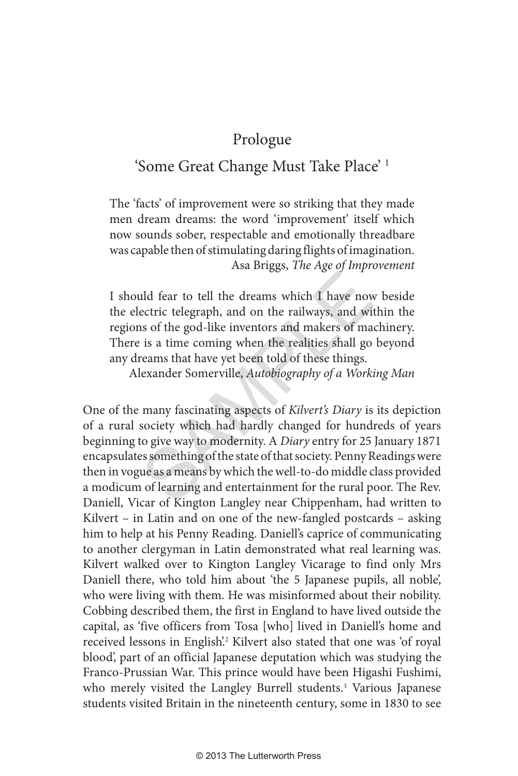## Prologue

## 'Some Great Change Must Take Place' 1

The 'facts' of improvement were so striking that they made men dream dreams: the word 'improvement' itself which now sounds sober, respectable and emotionally threadbare was capable then of stimulating daring flights of imagination. Asa Briggs, The Age of Improvement

I should fear to tell the dreams which I have now beside the electric telegraph, and on the railways, and within the regions of the god-like inventors and makers of machinery. There is a time coming when the realities shall go beyond any dreams that have yet been told of these things.

Alexander Somerville, Autobiography of a Working Man

and fear to tell the dreams which I have now<br>ectric telegraph, and on the railways, and wis<br>is of the god-like inventors and makers of ma<br>is a time coming when the realities shall go<br>reams that have yet been told of these One of the many fascinating aspects of Kilvert's Diary is its depiction of a rural society which had hardly changed for hundreds of years beginning to give way to modernity. A Diary entry for 25 January 1871 encapsulates something of the state of that society. Penny Readings were then in vogue as a means by which the well-to-do middle class provided a modicum of learning and entertainment for the rural poor. The Rev. Daniell, Vicar of Kington Langley near Chippenham, had written to Kilvert – in Latin and on one of the new-fangled postcards – asking him to help at his Penny Reading. Daniell's caprice of communicating to another clergyman in Latin demonstrated what real learning was. Kilvert walked over to Kington Langley Vicarage to find only Mrs Daniell there, who told him about 'the 5 Japanese pupils, all noble', who were living with them. He was misinformed about their nobility. Cobbing described them, the first in England to have lived outside the capital, as 'five officers from Tosa [who] lived in Daniell's home and received lessons in English?<sup>2</sup> Kilvert also stated that one was 'of royal blood', part of an official Japanese deputation which was studying the Franco-Prussian War. This prince would have been Higashi Fushimi, who merely visited the Langley Burrell students.<sup>3</sup> Various Japanese students visited Britain in the nineteenth century, some in 1830 to see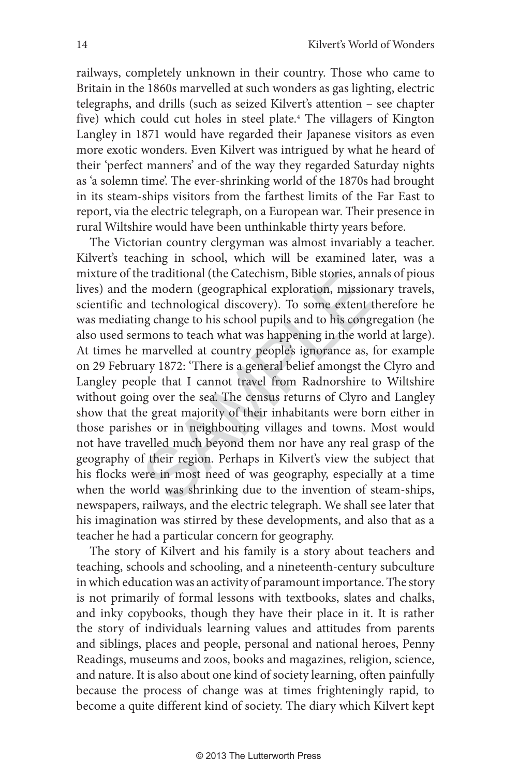railways, completely unknown in their country. Those who came to Britain in the 1860s marvelled at such wonders as gas lighting, electric telegraphs, and drills (such as seized Kilvert's attention – see chapter five) which could cut holes in steel plate. 4 The villagers of Kington Langley in 1871 would have regarded their Japanese visitors as even more exotic wonders. Even Kilvert was intrigued by what he heard of their 'perfect manners' and of the way they regarded Saturday nights as 'a solemn time'. The ever-shrinking world of the 1870s had brought in its steam-ships visitors from the farthest limits of the Far East to report, via the electric telegraph, on a European war. Their presence in rural Wiltshire would have been unthinkable thirty years before.

the traditional (the Catechism, Bible stories, ann<br>the modern (geographical exploration, mission<br>d technological discovery). To some extent t<br>ng change to his school pupils and to his congr<br>mons to teach what was happening The Victorian country clergyman was almost invariably a teacher. Kilvert's teaching in school, which will be examined later, was a mixture of the traditional (the Catechism, Bible stories, annals of pious lives) and the modern (geographical exploration, missionary travels, scientific and technological discovery). To some extent therefore he was mediating change to his school pupils and to his congregation (he also used sermons to teach what was happening in the world at large). At times he marvelled at country people's ignorance as, for example on 29 February 1872: 'There is a general belief amongst the Clyro and Langley people that I cannot travel from Radnorshire to Wiltshire without going over the sea'. The census returns of Clyro and Langley show that the great majority of their inhabitants were born either in those parishes or in neighbouring villages and towns. Most would not have travelled much beyond them nor have any real grasp of the geography of their region. Perhaps in Kilvert's view the subject that his flocks were in most need of was geography, especially at a time when the world was shrinking due to the invention of steam-ships, newspapers, railways, and the electric telegraph. We shall see later that his imagination was stirred by these developments, and also that as a teacher he had a particular concern for geography.

The story of Kilvert and his family is a story about teachers and teaching, schools and schooling, and a nineteenth-century subculture in which education was an activity of paramount importance. The story is not primarily of formal lessons with textbooks, slates and chalks, and inky copybooks, though they have their place in it. It is rather the story of individuals learning values and attitudes from parents and siblings, places and people, personal and national heroes, Penny Readings, museums and zoos, books and magazines, religion, science, and nature. It is also about one kind of society learning, often painfully because the process of change was at times frighteningly rapid, to become a quite different kind of society. The diary which Kilvert kept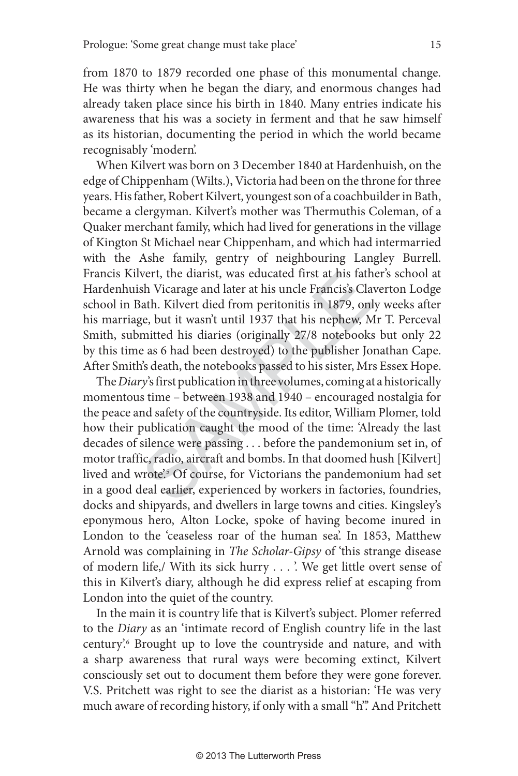from 1870 to 1879 recorded one phase of this monumental change. He was thirty when he began the diary, and enormous changes had already taken place since his birth in 1840. Many entries indicate his awareness that his was a society in ferment and that he saw himself as its historian, documenting the period in which the world became recognisably 'modern'.

When Kilvert was born on 3 December 1840 at Hardenhuish, on the edge of Chippenham (Wilts.), Victoria had been on the throne for three years. His father, Robert Kilvert, youngest son of a coachbuilder in Bath, became a clergyman. Kilvert's mother was Thermuthis Coleman, of a Quaker merchant family, which had lived for generations in the village of Kington St Michael near Chippenham, and which had intermarried with the Ashe family, gentry of neighbouring Langley Burrell. Francis Kilvert, the diarist, was educated first at his father's school at Hardenhuish Vicarage and later at his uncle Francis's Claverton Lodge school in Bath. Kilvert died from peritonitis in 1879, only weeks after his marriage, but it wasn't until 1937 that his nephew, Mr T. Perceval Smith, submitted his diaries (originally 27/8 notebooks but only 22 by this time as 6 had been destroyed) to the publisher Jonathan Cape. After Smith's death, the notebooks passed to his sister, Mrs Essex Hope.

vert, the diarist, was educated first at his tath<br>sh Vicarage and later at his uncle Francis's Clar<br>lath. Kilvert died from peritonitis in 1879, only<br>ge, but it wasn't until 1937 that his nephew, M<br>mitted his diaries (orig The Diary's first publication in three volumes, coming at a historically momentous time – between 1938 and 1940 – encouraged nostalgia for the peace and safety of the countryside. Its editor, William Plomer, told how their publication caught the mood of the time: 'Already the last decades of silence were passing . . . before the pandemonium set in, of motor traffic, radio, aircraft and bombs. In that doomed hush [Kilvert] lived and wrote'. 5 Of course, for Victorians the pandemonium had set in a good deal earlier, experienced by workers in factories, foundries, docks and shipyards, and dwellers in large towns and cities. Kingsley's eponymous hero, Alton Locke, spoke of having become inured in London to the 'ceaseless roar of the human sea'. In 1853, Matthew Arnold was complaining in The Scholar-Gipsy of 'this strange disease of modern life,/ With its sick hurry . . . '. We get little overt sense of this in Kilvert's diary, although he did express relief at escaping from London into the quiet of the country.

In the main it is country life that is Kilvert's subject. Plomer referred to the Diary as an 'intimate record of English country life in the last century'. 6 Brought up to love the countryside and nature, and with a sharp awareness that rural ways were becoming extinct, Kilvert consciously set out to document them before they were gone forever. V.S. Pritchett was right to see the diarist as a historian: 'He was very much aware of recording history, if only with a small "h". And Pritchett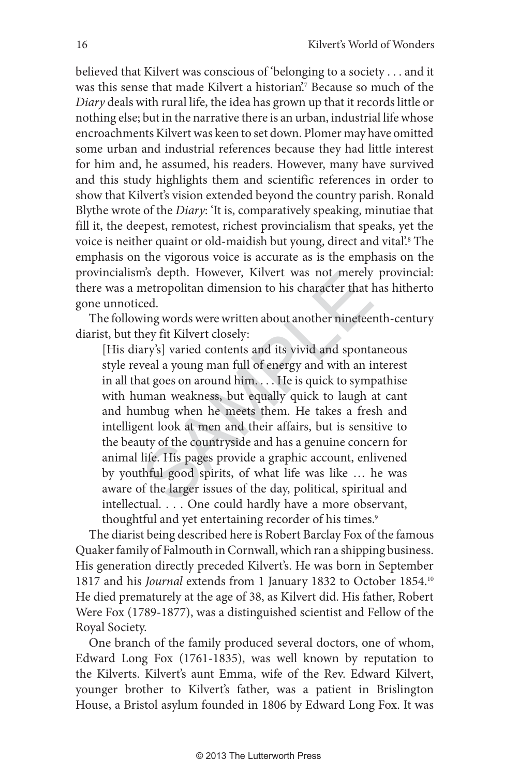believed that Kilvert was conscious of 'belonging to a society . . . and it was this sense that made Kilvert a historian.<sup>7</sup> Because so much of the Diary deals with rural life, the idea has grown up that it records little or nothing else; but in the narrative there is an urban, industrial life whose encroachments Kilvert was keen to set down. Plomer may have omitted some urban and industrial references because they had little interest for him and, he assumed, his readers. However, many have survived and this study highlights them and scientific references in order to show that Kilvert's vision extended beyond the country parish. Ronald Blythe wrote of the Diary: 'It is, comparatively speaking, minutiae that fill it, the deepest, remotest, richest provincialism that speaks, yet the voice is neither quaint or old-maidish but young, direct and vital'. 8 The emphasis on the vigorous voice is accurate as is the emphasis on the provincialism's depth. However, Kilvert was not merely provincial: there was a metropolitan dimension to his character that has hitherto gone unnoticed.

The following words were written about another nineteenth-century diarist, but they fit Kilvert closely:

metropolitan dimension to his character that l<br>red.<br>wing words were written about another nineteen<br>hey fit Kilvert closely:<br>ary's] varied contents and its vivid and sponta<br>weal a young man full of energy and with an in<br>at [His diary's] varied contents and its vivid and spontaneous style reveal a young man full of energy and with an interest in all that goes on around him. . . . He is quick to sympathise with human weakness, but equally quick to laugh at cant and humbug when he meets them. He takes a fresh and intelligent look at men and their affairs, but is sensitive to the beauty of the countryside and has a genuine concern for animal life. His pages provide a graphic account, enlivened by youthful good spirits, of what life was like … he was aware of the larger issues of the day, political, spiritual and intellectual. . . . One could hardly have a more observant, thoughtful and yet entertaining recorder of his times.<sup>9</sup>

The diarist being described here is Robert Barclay Fox of the famous Quaker family of Falmouth in Cornwall, which ran a shipping business. His generation directly preceded Kilvert's. He was born in September 1817 and his Journal extends from 1 January 1832 to October 1854.<sup>10</sup> He died prematurely at the age of 38, as Kilvert did. His father, Robert Were Fox (1789-1877), was a distinguished scientist and Fellow of the Royal Society.

One branch of the family produced several doctors, one of whom, Edward Long Fox (1761-1835), was well known by reputation to the Kilverts. Kilvert's aunt Emma, wife of the Rev. Edward Kilvert, younger brother to Kilvert's father, was a patient in Brislington House, a Bristol asylum founded in 1806 by Edward Long Fox. It was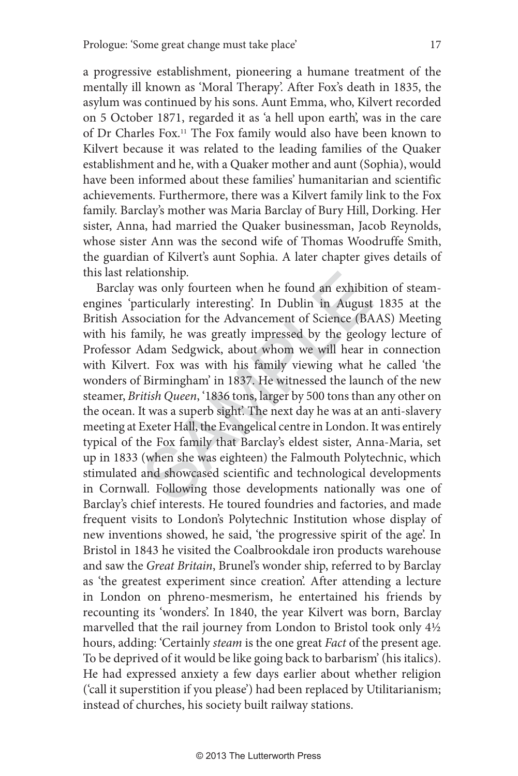a progressive establishment, pioneering a humane treatment of the mentally ill known as 'Moral Therapy'. After Fox's death in 1835, the asylum was continued by his sons. Aunt Emma, who, Kilvert recorded on 5 October 1871, regarded it as 'a hell upon earth', was in the care of Dr Charles Fox.11 The Fox family would also have been known to Kilvert because it was related to the leading families of the Quaker establishment and he, with a Quaker mother and aunt (Sophia), would have been informed about these families' humanitarian and scientific achievements. Furthermore, there was a Kilvert family link to the Fox family. Barclay's mother was Maria Barclay of Bury Hill, Dorking. Her sister, Anna, had married the Quaker businessman, Jacob Reynolds, whose sister Ann was the second wife of Thomas Woodruffe Smith, the guardian of Kilvert's aunt Sophia. A later chapter gives details of this last relationship.

ationship.<br>
was only fourteen when he found an exhibiti<br>
articularly interesting. In Dublin in August<br>
ociation for the Advancement of Science (BA<br>
mily, he was greatly impressed by the geolo<br>
ddam Sedgwick, about whom we Barclay was only fourteen when he found an exhibition of steamengines 'particularly interesting'. In Dublin in August 1835 at the British Association for the Advancement of Science (BAAS) Meeting with his family, he was greatly impressed by the geology lecture of Professor Adam Sedgwick, about whom we will hear in connection with Kilvert. Fox was with his family viewing what he called 'the wonders of Birmingham' in 1837. He witnessed the launch of the new steamer, British Queen, '1836 tons, larger by 500 tons than any other on the ocean. It was a superb sight'. The next day he was at an anti-slavery meeting at Exeter Hall, the Evangelical centre in London. It was entirely typical of the Fox family that Barclay's eldest sister, Anna-Maria, set up in 1833 (when she was eighteen) the Falmouth Polytechnic, which stimulated and showcased scientific and technological developments in Cornwall. Following those developments nationally was one of Barclay's chief interests. He toured foundries and factories, and made frequent visits to London's Polytechnic Institution whose display of new inventions showed, he said, 'the progressive spirit of the age'. In Bristol in 1843 he visited the Coalbrookdale iron products warehouse and saw the Great Britain, Brunel's wonder ship, referred to by Barclay as 'the greatest experiment since creation'. After attending a lecture in London on phreno-mesmerism, he entertained his friends by recounting its 'wonders'. In 1840, the year Kilvert was born, Barclay marvelled that the rail journey from London to Bristol took only 4½ hours, adding: 'Certainly steam is the one great Fact of the present age. To be deprived of it would be like going back to barbarism' (his italics). He had expressed anxiety a few days earlier about whether religion ('call it superstition if you please') had been replaced by Utilitarianism; instead of churches, his society built railway stations.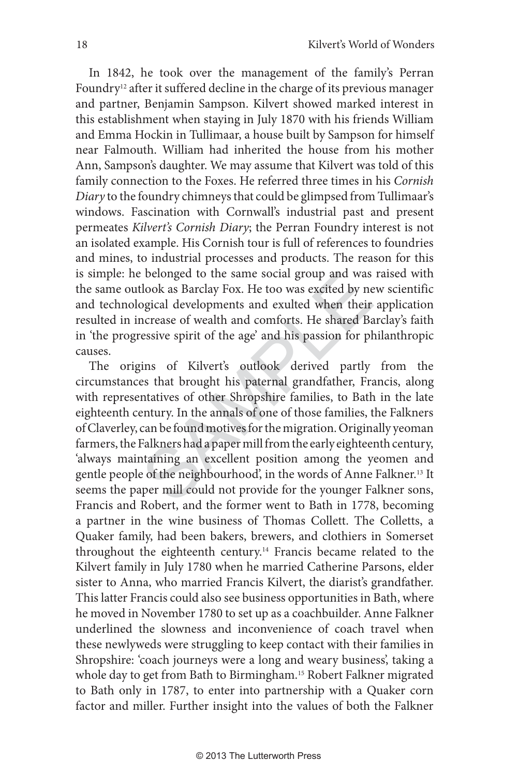In 1842, he took over the management of the family's Perran Foundry<sup>12</sup> after it suffered decline in the charge of its previous manager and partner, Benjamin Sampson. Kilvert showed marked interest in this establishment when staying in July 1870 with his friends William and Emma Hockin in Tullimaar, a house built by Sampson for himself near Falmouth. William had inherited the house from his mother Ann, Sampson's daughter. We may assume that Kilvert was told of this family connection to the Foxes. He referred three times in his Cornish Diary to the foundry chimneys that could be glimpsed from Tullimaar's windows. Fascination with Cornwall's industrial past and present permeates Kilvert's Cornish Diary; the Perran Foundry interest is not an isolated example. His Cornish tour is full of references to foundries and mines, to industrial processes and products. The reason for this is simple: he belonged to the same social group and was raised with the same outlook as Barclay Fox. He too was excited by new scientific and technological developments and exulted when their application resulted in increase of wealth and comforts. He shared Barclay's faith in 'the progressive spirit of the age' and his passion for philanthropic causes.

Explored to the same social group and was<br>tlook as Barclay Fox. He too was excited by ne<br>ogical developments and exulted when their<br>ncrease of wealth and comforts. He shared Ba<br>ressive spirit of the age' and his passion fo The origins of Kilvert's outlook derived partly from the circumstances that brought his paternal grandfather, Francis, along with representatives of other Shropshire families, to Bath in the late eighteenth century. In the annals of one of those families, the Falkners of Claverley, can be found motives for the migration. Originally yeoman farmers, the Falkners had a paper mill from the early eighteenth century, 'always maintaining an excellent position among the yeomen and gentle people of the neighbourhood', in the words of Anne Falkner.13 It seems the paper mill could not provide for the younger Falkner sons, Francis and Robert, and the former went to Bath in 1778, becoming a partner in the wine business of Thomas Collett. The Colletts, a Quaker family, had been bakers, brewers, and clothiers in Somerset throughout the eighteenth century.<sup>14</sup> Francis became related to the Kilvert family in July 1780 when he married Catherine Parsons, elder sister to Anna, who married Francis Kilvert, the diarist's grandfather. This latter Francis could also see business opportunities in Bath, where he moved in November 1780 to set up as a coachbuilder. Anne Falkner underlined the slowness and inconvenience of coach travel when these newlyweds were struggling to keep contact with their families in Shropshire: 'coach journeys were a long and weary business', taking a whole day to get from Bath to Birmingham.<sup>15</sup> Robert Falkner migrated to Bath only in 1787, to enter into partnership with a Quaker corn factor and miller. Further insight into the values of both the Falkner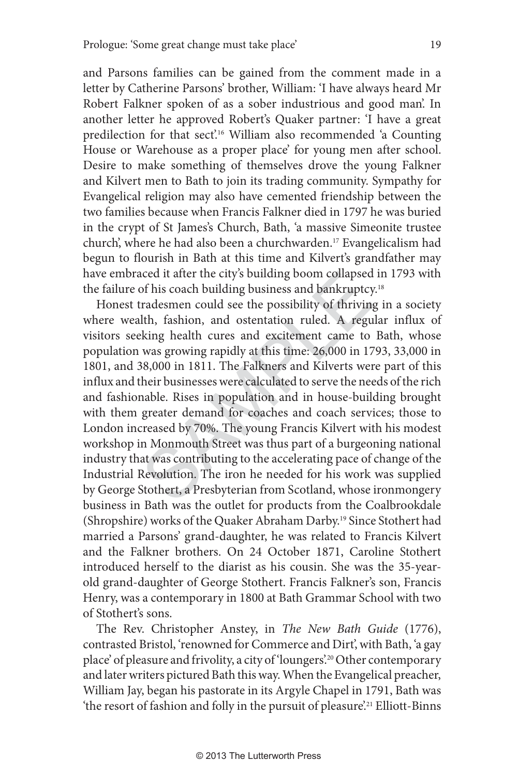and Parsons families can be gained from the comment made in a letter by Catherine Parsons' brother, William: 'I have always heard Mr Robert Falkner spoken of as a sober industrious and good man'. In another letter he approved Robert's Quaker partner: 'I have a great predilection for that sect.<sup>16</sup> William also recommended 'a Counting House or Warehouse as a proper place' for young men after school. Desire to make something of themselves drove the young Falkner and Kilvert men to Bath to join its trading community. Sympathy for Evangelical religion may also have cemented friendship between the two families because when Francis Falkner died in 1797 he was buried in the crypt of St James's Church, Bath, 'a massive Simeonite trustee church', where he had also been a churchwarden.17 Evangelicalism had begun to flourish in Bath at this time and Kilvert's grandfather may have embraced it after the city's building boom collapsed in 1793 with the failure of his coach building business and bankruptcy.<sup>18</sup>

aced it after the city's building boom collapsed<br>of his coach building business and bankruptcy<br>radesmen could see the possibility of thriving<br>lth, fashion, and ostentation ruled. A regu<br>king health cures and excitement cam Honest tradesmen could see the possibility of thriving in a society where wealth, fashion, and ostentation ruled. A regular influx of visitors seeking health cures and excitement came to Bath, whose population was growing rapidly at this time: 26,000 in 1793, 33,000 in 1801, and 38,000 in 1811. The Falkners and Kilverts were part of this influx and their businesses were calculated to serve the needs of the rich and fashionable. Rises in population and in house-building brought with them greater demand for coaches and coach services; those to London increased by 70%. The young Francis Kilvert with his modest workshop in Monmouth Street was thus part of a burgeoning national industry that was contributing to the accelerating pace of change of the Industrial Revolution. The iron he needed for his work was supplied by George Stothert, a Presbyterian from Scotland, whose ironmongery business in Bath was the outlet for products from the Coalbrookdale (Shropshire) works of the Quaker Abraham Darby.19 Since Stothert had married a Parsons' grand-daughter, he was related to Francis Kilvert and the Falkner brothers. On 24 October 1871, Caroline Stothert introduced herself to the diarist as his cousin. She was the 35-yearold grand-daughter of George Stothert. Francis Falkner's son, Francis Henry, was a contemporary in 1800 at Bath Grammar School with two of Stothert's sons.

The Rev. Christopher Anstey, in The New Bath Guide (1776), contrasted Bristol, 'renowned for Commerce and Dirt', with Bath, 'a gay place' of pleasure and frivolity, a city of 'loungers'.20 Other contemporary and later writers pictured Bath this way. When the Evangelical preacher, William Jay, began his pastorate in its Argyle Chapel in 1791, Bath was 'the resort of fashion and folly in the pursuit of pleasure'.<sup>21</sup> Elliott-Binns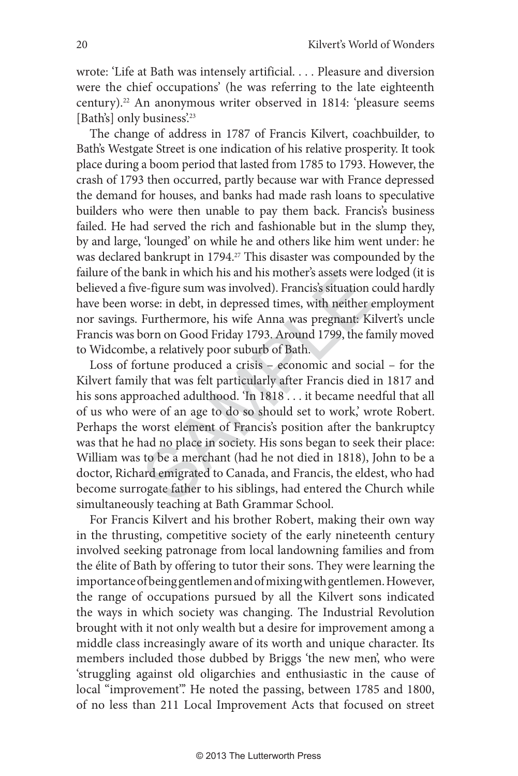wrote: 'Life at Bath was intensely artificial. . . . Pleasure and diversion were the chief occupations' (he was referring to the late eighteenth century).22 An anonymous writer observed in 1814: 'pleasure seems [Bath's] only business'.<sup>23</sup>

The change of address in 1787 of Francis Kilvert, coachbuilder, to Bath's Westgate Street is one indication of his relative prosperity. It took place during a boom period that lasted from 1785 to 1793. However, the crash of 1793 then occurred, partly because war with France depressed the demand for houses, and banks had made rash loans to speculative builders who were then unable to pay them back. Francis's business failed. He had served the rich and fashionable but in the slump they, by and large, 'lounged' on while he and others like him went under: he was declared bankrupt in 1794.<sup>27</sup> This disaster was compounded by the failure of the bank in which his and his mother's assets were lodged (it is believed a five-figure sum was involved). Francis's situation could hardly have been worse: in debt, in depressed times, with neither employment nor savings. Furthermore, his wife Anna was pregnant: Kilvert's uncle Francis was born on Good Friday 1793. Around 1799, the family moved to Widcombe, a relatively poor suburb of Bath.

bank in which his and his mother's assets were<br>re-figure sum was involved). Francis's situation or<br>orse: in debt, in depressed times, with neither  $\epsilon$ <br>Furthermore, his wife Anna was pregnant: Ki<br>porn on Good Friday 1793. Loss of fortune produced a crisis – economic and social – for the Kilvert family that was felt particularly after Francis died in 1817 and his sons approached adulthood. 'In 1818 . . . it became needful that all of us who were of an age to do so should set to work,' wrote Robert. Perhaps the worst element of Francis's position after the bankruptcy was that he had no place in society. His sons began to seek their place: William was to be a merchant (had he not died in 1818), John to be a doctor, Richard emigrated to Canada, and Francis, the eldest, who had become surrogate father to his siblings, had entered the Church while simultaneously teaching at Bath Grammar School.

For Francis Kilvert and his brother Robert, making their own way in the thrusting, competitive society of the early nineteenth century involved seeking patronage from local landowning families and from the élite of Bath by offering to tutor their sons. They were learning the importance of being gentlemen and of mixing with gentlemen. However, the range of occupations pursued by all the Kilvert sons indicated the ways in which society was changing. The Industrial Revolution brought with it not only wealth but a desire for improvement among a middle class increasingly aware of its worth and unique character. Its members included those dubbed by Briggs 'the new men', who were 'struggling against old oligarchies and enthusiastic in the cause of local "improvement". He noted the passing, between 1785 and 1800, of no less than 211 Local Improvement Acts that focused on street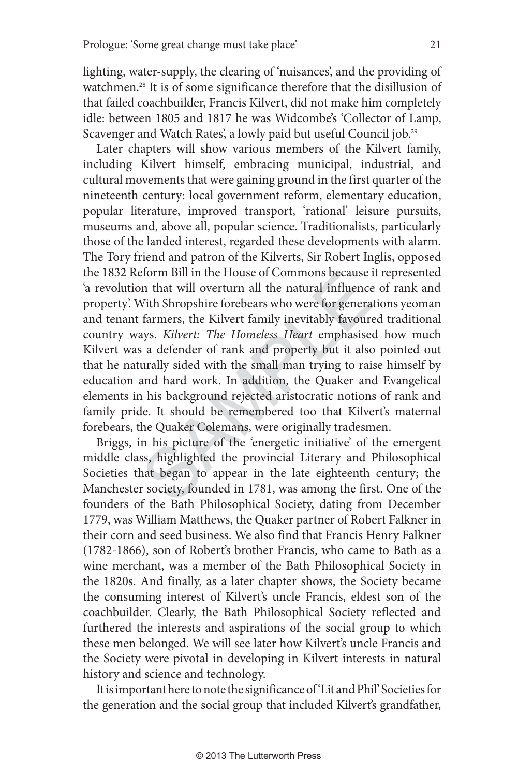lighting, water-supply, the clearing of 'nuisances', and the providing of watchmen.28 It is of some significance therefore that the disillusion of that failed coachbuilder, Francis Kilvert, did not make him completely idle: between 1805 and 1817 he was Widcombe's 'Collector of Lamp, Scavenger and Watch Rates', a lowly paid but useful Council job.<sup>29</sup>

eform Bill in the House of Commons because i<br>In that will overturn all the natural influence<br>Vith Shropshire forebears who were for general<br>farmers, the Kilvert family inevitably favoure<br>ays. *Kilvert: The Homeless Heart* Later chapters will show various members of the Kilvert family, including Kilvert himself, embracing municipal, industrial, and cultural movements that were gaining ground in the first quarter of the nineteenth century: local government reform, elementary education, popular literature, improved transport, 'rational' leisure pursuits, museums and, above all, popular science. Traditionalists, particularly those of the landed interest, regarded these developments with alarm. The Tory friend and patron of the Kilverts, Sir Robert Inglis, opposed the 1832 Reform Bill in the House of Commons because it represented 'a revolution that will overturn all the natural influence of rank and property'. With Shropshire forebears who were for generations yeoman and tenant farmers, the Kilvert family inevitably favoured traditional country ways. Kilvert: The Homeless Heart emphasised how much Kilvert was a defender of rank and property but it also pointed out that he naturally sided with the small man trying to raise himself by education and hard work. In addition, the Quaker and Evangelical elements in his background rejected aristocratic notions of rank and family pride. It should be remembered too that Kilvert's maternal forebears, the Quaker Colemans, were originally tradesmen.

Briggs, in his picture of the 'energetic initiative' of the emergent middle class, highlighted the provincial Literary and Philosophical Societies that began to appear in the late eighteenth century; the Manchester society, founded in 1781, was among the first. One of the founders of the Bath Philosophical Society, dating from December 1779, was William Matthews, the Quaker partner of Robert Falkner in their corn and seed business. We also find that Francis Henry Falkner (1782-1866), son of Robert's brother Francis, who came to Bath as a wine merchant, was a member of the Bath Philosophical Society in the 1820s. And finally, as a later chapter shows, the Society became the consuming interest of Kilvert's uncle Francis, eldest son of the coachbuilder. Clearly, the Bath Philosophical Society reflected and furthered the interests and aspirations of the social group to which these men belonged. We will see later how Kilvert's uncle Francis and the Society were pivotal in developing in Kilvert interests in natural history and science and technology.

It is important here to note the significance of 'Lit and Phil' Societies for the generation and the social group that included Kilvert's grandfather,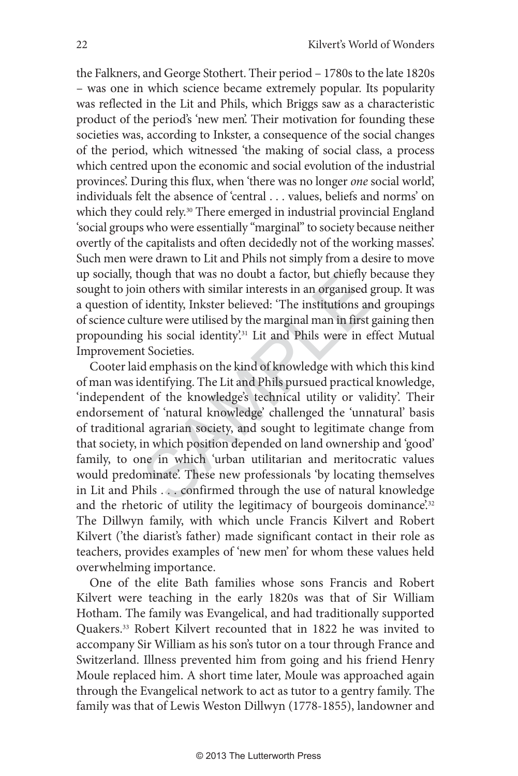the Falkners, and George Stothert. Their period – 1780s to the late 1820s – was one in which science became extremely popular. Its popularity was reflected in the Lit and Phils, which Briggs saw as a characteristic product of the period's 'new men'. Their motivation for founding these societies was, according to Inkster, a consequence of the social changes of the period, which witnessed 'the making of social class, a process which centred upon the economic and social evolution of the industrial provinces'. During this flux, when 'there was no longer one social world', individuals felt the absence of 'central . . . values, beliefs and norms' on which they could rely.<sup>30</sup> There emerged in industrial provincial England 'social groups who were essentially "marginal" to society because neither overtly of the capitalists and often decidedly not of the working masses'. Such men were drawn to Lit and Phils not simply from a desire to move up socially, though that was no doubt a factor, but chiefly because they sought to join others with similar interests in an organised group. It was a question of identity, Inkster believed: 'The institutions and groupings of science culture were utilised by the marginal man in first gaining then propounding his social identity'.<sup>31</sup> Lit and Phils were in effect Mutual Improvement Societies.

hough that was no doubt a factor, but chiefly b<br>n others with similar interests in an organised  $\xi$ <br>f identity, Inkster believed: "The institutions an<br>lture were utilised by the marginal man in first  $\xi$ <br>g his social id Cooter laid emphasis on the kind of knowledge with which this kind of man was identifying. The Lit and Phils pursued practical knowledge, 'independent of the knowledge's technical utility or validity'. Their endorsement of 'natural knowledge' challenged the 'unnatural' basis of traditional agrarian society, and sought to legitimate change from that society, in which position depended on land ownership and 'good' family, to one in which 'urban utilitarian and meritocratic values would predominate'. These new professionals 'by locating themselves in Lit and Phils . . . confirmed through the use of natural knowledge and the rhetoric of utility the legitimacy of bourgeois dominance.<sup>32</sup> The Dillwyn family, with which uncle Francis Kilvert and Robert Kilvert ('the diarist's father) made significant contact in their role as teachers, provides examples of 'new men' for whom these values held overwhelming importance.

One of the elite Bath families whose sons Francis and Robert Kilvert were teaching in the early 1820s was that of Sir William Hotham. The family was Evangelical, and had traditionally supported Quakers.33 Robert Kilvert recounted that in 1822 he was invited to accompany Sir William as his son's tutor on a tour through France and Switzerland. Illness prevented him from going and his friend Henry Moule replaced him. A short time later, Moule was approached again through the Evangelical network to act as tutor to a gentry family. The family was that of Lewis Weston Dillwyn (1778-1855), landowner and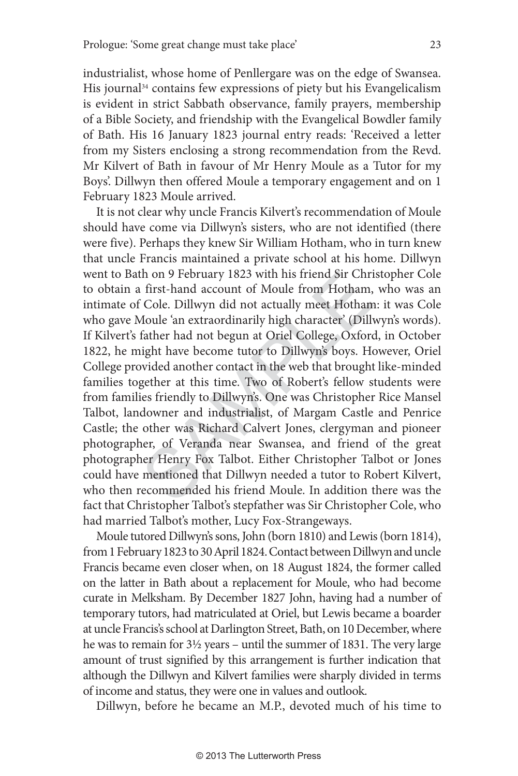industrialist, whose home of Penllergare was on the edge of Swansea. His journal<sup>34</sup> contains few expressions of piety but his Evangelicalism is evident in strict Sabbath observance, family prayers, membership of a Bible Society, and friendship with the Evangelical Bowdler family of Bath. His 16 January 1823 journal entry reads: 'Received a letter from my Sisters enclosing a strong recommendation from the Revd. Mr Kilvert of Bath in favour of Mr Henry Moule as a Tutor for my Boys'. Dillwyn then offered Moule a temporary engagement and on 1 February 1823 Moule arrived.

th on 9 February 1823 with his friend Sir Christ-<br>first-hand account of Moule from Hotham,<br>Cole. Dillwyn did not actually meet Hotham,<br>foule 'an extraordinarily high character' (Dillv<br>father had not begun at Oriel College, It is not clear why uncle Francis Kilvert's recommendation of Moule should have come via Dillwyn's sisters, who are not identified (there were five). Perhaps they knew Sir William Hotham, who in turn knew that uncle Francis maintained a private school at his home. Dillwyn went to Bath on 9 February 1823 with his friend Sir Christopher Cole to obtain a first-hand account of Moule from Hotham, who was an intimate of Cole. Dillwyn did not actually meet Hotham: it was Cole who gave Moule 'an extraordinarily high character' (Dillwyn's words). If Kilvert's father had not begun at Oriel College, Oxford, in October 1822, he might have become tutor to Dillwyn's boys. However, Oriel College provided another contact in the web that brought like-minded families together at this time. Two of Robert's fellow students were from families friendly to Dillwyn's. One was Christopher Rice Mansel Talbot, landowner and industrialist, of Margam Castle and Penrice Castle; the other was Richard Calvert Jones, clergyman and pioneer photographer, of Veranda near Swansea, and friend of the great photographer Henry Fox Talbot. Either Christopher Talbot or Jones could have mentioned that Dillwyn needed a tutor to Robert Kilvert, who then recommended his friend Moule. In addition there was the fact that Christopher Talbot's stepfather was Sir Christopher Cole, who had married Talbot's mother, Lucy Fox-Strangeways.

Moule tutored Dillwyn's sons, John (born 1810) and Lewis (born 1814), from 1 February 1823 to 30 April 1824. Contact between Dillwyn and uncle Francis became even closer when, on 18 August 1824, the former called on the latter in Bath about a replacement for Moule, who had become curate in Melksham. By December 1827 John, having had a number of temporary tutors, had matriculated at Oriel, but Lewis became a boarder at uncle Francis's school at Darlington Street, Bath, on 10 December, where he was to remain for 3½ years – until the summer of 1831. The very large amount of trust signified by this arrangement is further indication that although the Dillwyn and Kilvert families were sharply divided in terms of income and status, they were one in values and outlook.

Dillwyn, before he became an M.P., devoted much of his time to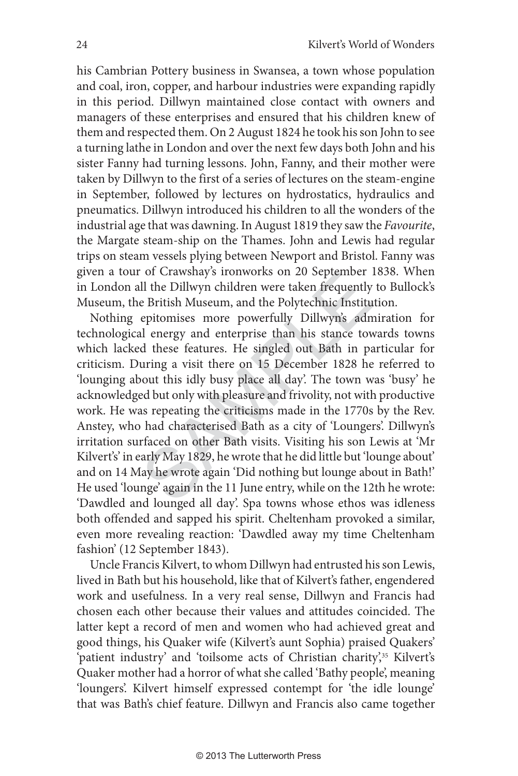his Cambrian Pottery business in Swansea, a town whose population and coal, iron, copper, and harbour industries were expanding rapidly in this period. Dillwyn maintained close contact with owners and managers of these enterprises and ensured that his children knew of them and respected them. On 2 August 1824 he took his son John to see a turning lathe in London and over the next few days both John and his sister Fanny had turning lessons. John, Fanny, and their mother were taken by Dillwyn to the first of a series of lectures on the steam-engine in September, followed by lectures on hydrostatics, hydraulics and pneumatics. Dillwyn introduced his children to all the wonders of the industrial age that was dawning. In August 1819 they saw the Favourite, the Margate steam-ship on the Thames. John and Lewis had regular trips on steam vessels plying between Newport and Bristol. Fanny was given a tour of Crawshay's ironworks on 20 September 1838. When in London all the Dillwyn children were taken frequently to Bullock's Museum, the British Museum, and the Polytechnic Institution.

For Crawshay's fronworks on 20 september I<br>Il the Dillwyn children were taken frequently<br>e British Museum, and the Polytechnic Institu<br>epitomises more powerfully Dillwyn's adm<br>al energy and enterprise than his stance tow<br> Nothing epitomises more powerfully Dillwyn's admiration for technological energy and enterprise than his stance towards towns which lacked these features. He singled out Bath in particular for criticism. During a visit there on 15 December 1828 he referred to 'lounging about this idly busy place all day'. The town was 'busy' he acknowledged but only with pleasure and frivolity, not with productive work. He was repeating the criticisms made in the 1770s by the Rev. Anstey, who had characterised Bath as a city of 'Loungers'. Dillwyn's irritation surfaced on other Bath visits. Visiting his son Lewis at 'Mr Kilvert's' in early May 1829, he wrote that he did little but 'lounge about' and on 14 May he wrote again 'Did nothing but lounge about in Bath!' He used 'lounge' again in the 11 June entry, while on the 12th he wrote: 'Dawdled and lounged all day'. Spa towns whose ethos was idleness both offended and sapped his spirit. Cheltenham provoked a similar, even more revealing reaction: 'Dawdled away my time Cheltenham fashion' (12 September 1843).

Uncle Francis Kilvert, to whom Dillwyn had entrusted his son Lewis, lived in Bath but his household, like that of Kilvert's father, engendered work and usefulness. In a very real sense, Dillwyn and Francis had chosen each other because their values and attitudes coincided. The latter kept a record of men and women who had achieved great and good things, his Quaker wife (Kilvert's aunt Sophia) praised Quakers' 'patient industry' and 'toilsome acts of Christian charity',<sup>35</sup> Kilvert's Quaker mother had a horror of what she called 'Bathy people', meaning 'loungers'. Kilvert himself expressed contempt for 'the idle lounge' that was Bath's chief feature. Dillwyn and Francis also came together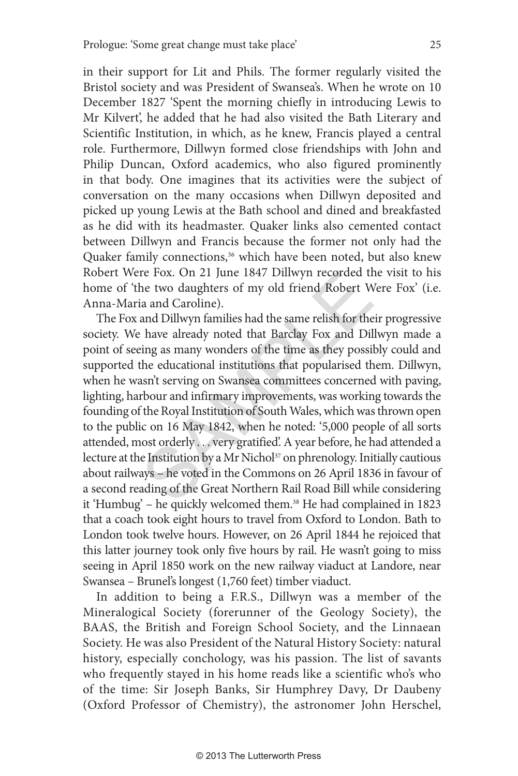in their support for Lit and Phils. The former regularly visited the Bristol society and was President of Swansea's. When he wrote on 10 December 1827 'Spent the morning chiefly in introducing Lewis to Mr Kilvert', he added that he had also visited the Bath Literary and Scientific Institution, in which, as he knew, Francis played a central role. Furthermore, Dillwyn formed close friendships with John and Philip Duncan, Oxford academics, who also figured prominently in that body. One imagines that its activities were the subject of conversation on the many occasions when Dillwyn deposited and picked up young Lewis at the Bath school and dined and breakfasted as he did with its headmaster. Quaker links also cemented contact between Dillwyn and Francis because the former not only had the Quaker family connections,<sup>36</sup> which have been noted, but also knew Robert Were Fox. On 21 June 1847 Dillwyn recorded the visit to his home of 'the two daughters of my old friend Robert Were Fox' (i.e. Anna-Maria and Caroline).

re Fox. On 21 June 184/ Dillwyn recorded the<br>two daughters of my old friend Robert W<br>ia and Caroline).<br>and Dillwyn families had the same relish for the<br>have already noted that Barclay Fox and Dil<br>ting as many wonders of th The Fox and Dillwyn families had the same relish for their progressive society. We have already noted that Barclay Fox and Dillwyn made a point of seeing as many wonders of the time as they possibly could and supported the educational institutions that popularised them. Dillwyn, when he wasn't serving on Swansea committees concerned with paving, lighting, harbour and infirmary improvements, was working towards the founding of the Royal Institution of South Wales, which was thrown open to the public on 16 May 1842, when he noted: '5,000 people of all sorts attended, most orderly . . . very gratified'. A year before, he had attended a lecture at the Institution by a Mr Nichol<sup>37</sup> on phrenology. Initially cautious about railways – he voted in the Commons on 26 April 1836 in favour of a second reading of the Great Northern Rail Road Bill while considering it 'Humbug' – he quickly welcomed them.<sup>38</sup> He had complained in 1823 that a coach took eight hours to travel from Oxford to London. Bath to London took twelve hours. However, on 26 April 1844 he rejoiced that this latter journey took only five hours by rail. He wasn't going to miss seeing in April 1850 work on the new railway viaduct at Landore, near Swansea – Brunel's longest (1,760 feet) timber viaduct.

In addition to being a F.R.S., Dillwyn was a member of the Mineralogical Society (forerunner of the Geology Society), the BAAS, the British and Foreign School Society, and the Linnaean Society. He was also President of the Natural History Society: natural history, especially conchology, was his passion. The list of savants who frequently stayed in his home reads like a scientific who's who of the time: Sir Joseph Banks, Sir Humphrey Davy, Dr Daubeny (Oxford Professor of Chemistry), the astronomer John Herschel,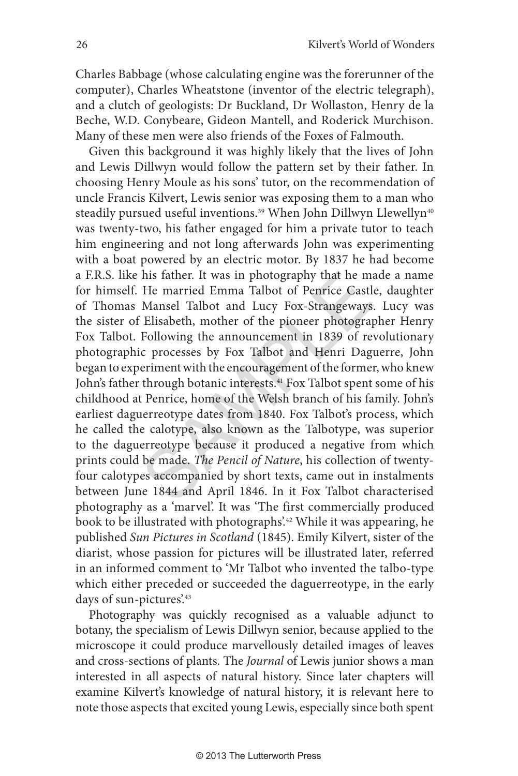Charles Babbage (whose calculating engine was the forerunner of the computer), Charles Wheatstone (inventor of the electric telegraph), and a clutch of geologists: Dr Buckland, Dr Wollaston, Henry de la Beche, W.D. Conybeare, Gideon Mantell, and Roderick Murchison. Many of these men were also friends of the Foxes of Falmouth.

his father. It was in photography that he mass He married Emma Talbot of Penrice Castl Mansel Talbot and Lucy Fox-Strangeways.<br>Elisabeth, mother of the pioneer photograp Following the announcement in 1839 of rec c processe Given this background it was highly likely that the lives of John and Lewis Dillwyn would follow the pattern set by their father. In choosing Henry Moule as his sons' tutor, on the recommendation of uncle Francis Kilvert, Lewis senior was exposing them to a man who steadily pursued useful inventions.<sup>39</sup> When John Dillwyn Llewellyn<sup>40</sup> was twenty-two, his father engaged for him a private tutor to teach him engineering and not long afterwards John was experimenting with a boat powered by an electric motor. By 1837 he had become a F.R.S. like his father. It was in photography that he made a name for himself. He married Emma Talbot of Penrice Castle, daughter of Thomas Mansel Talbot and Lucy Fox-Strangeways. Lucy was the sister of Elisabeth, mother of the pioneer photographer Henry Fox Talbot. Following the announcement in 1839 of revolutionary photographic processes by Fox Talbot and Henri Daguerre, John began to experiment with the encouragement of the former, who knew John's father through botanic interests.<sup>41</sup> Fox Talbot spent some of his childhood at Penrice, home of the Welsh branch of his family. John's earliest daguerreotype dates from 1840. Fox Talbot's process, which he called the calotype, also known as the Talbotype, was superior to the daguerreotype because it produced a negative from which prints could be made. The Pencil of Nature, his collection of twentyfour calotypes accompanied by short texts, came out in instalments between June 1844 and April 1846. In it Fox Talbot characterised photography as a 'marvel'. It was 'The first commercially produced book to be illustrated with photographs'.<sup>42</sup> While it was appearing, he published Sun Pictures in Scotland (1845). Emily Kilvert, sister of the diarist, whose passion for pictures will be illustrated later, referred in an informed comment to 'Mr Talbot who invented the talbo-type which either preceded or succeeded the daguerreotype, in the early days of sun-pictures.<sup>43</sup>

Photography was quickly recognised as a valuable adjunct to botany, the specialism of Lewis Dillwyn senior, because applied to the microscope it could produce marvellously detailed images of leaves and cross-sections of plants. The Journal of Lewis junior shows a man interested in all aspects of natural history. Since later chapters will examine Kilvert's knowledge of natural history, it is relevant here to note those aspects that excited young Lewis, especially since both spent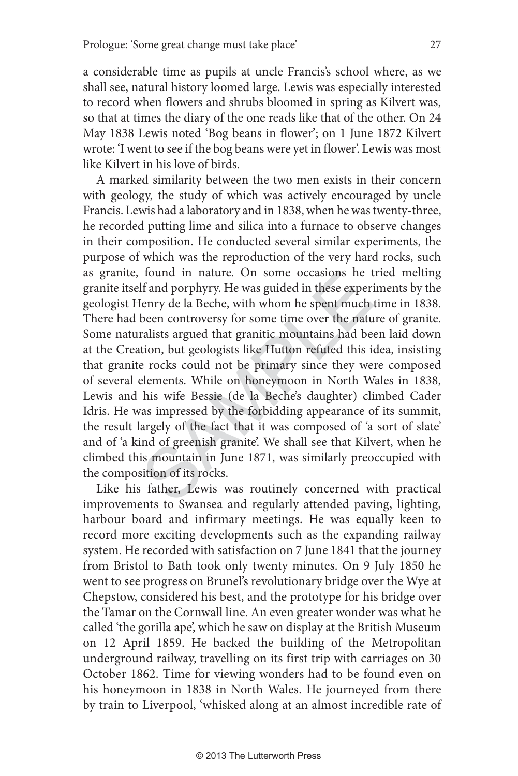a considerable time as pupils at uncle Francis's school where, as we shall see, natural history loomed large. Lewis was especially interested to record when flowers and shrubs bloomed in spring as Kilvert was, so that at times the diary of the one reads like that of the other. On 24 May 1838 Lewis noted 'Bog beans in flower'; on 1 June 1872 Kilvert wrote: 'I went to see if the bog beans were yet in flower'. Lewis was most like Kilvert in his love of birds.

From the same occasions he is the series of the Swanser and require to Swanser and the Swanser and the Swanser<br>Sample 1970 and the series of the series of the neutralists argued that granitic mountains had be<br>tion, but geo A marked similarity between the two men exists in their concern with geology, the study of which was actively encouraged by uncle Francis. Lewis had a laboratory and in 1838, when he was twenty-three, he recorded putting lime and silica into a furnace to observe changes in their composition. He conducted several similar experiments, the purpose of which was the reproduction of the very hard rocks, such as granite, found in nature. On some occasions he tried melting granite itself and porphyry. He was guided in these experiments by the geologist Henry de la Beche, with whom he spent much time in 1838. There had been controversy for some time over the nature of granite. Some naturalists argued that granitic mountains had been laid down at the Creation, but geologists like Hutton refuted this idea, insisting that granite rocks could not be primary since they were composed of several elements. While on honeymoon in North Wales in 1838, Lewis and his wife Bessie (de la Beche's daughter) climbed Cader Idris. He was impressed by the forbidding appearance of its summit, the result largely of the fact that it was composed of 'a sort of slate' and of 'a kind of greenish granite'. We shall see that Kilvert, when he climbed this mountain in June 1871, was similarly preoccupied with the composition of its rocks.

Like his father, Lewis was routinely concerned with practical improvements to Swansea and regularly attended paving, lighting, harbour board and infirmary meetings. He was equally keen to record more exciting developments such as the expanding railway system. He recorded with satisfaction on 7 June 1841 that the journey from Bristol to Bath took only twenty minutes. On 9 July 1850 he went to see progress on Brunel's revolutionary bridge over the Wye at Chepstow, considered his best, and the prototype for his bridge over the Tamar on the Cornwall line. An even greater wonder was what he called 'the gorilla ape', which he saw on display at the British Museum on 12 April 1859. He backed the building of the Metropolitan underground railway, travelling on its first trip with carriages on 30 October 1862. Time for viewing wonders had to be found even on his honeymoon in 1838 in North Wales. He journeyed from there by train to Liverpool, 'whisked along at an almost incredible rate of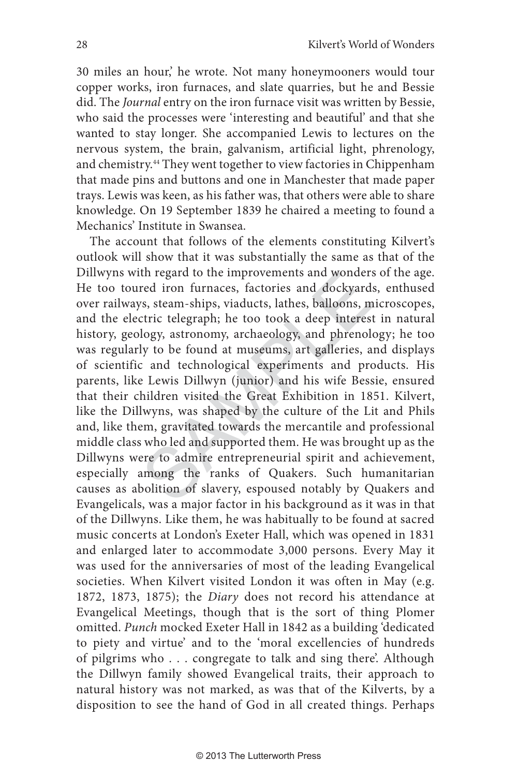30 miles an hour,' he wrote. Not many honeymooners would tour copper works, iron furnaces, and slate quarries, but he and Bessie did. The Journal entry on the iron furnace visit was written by Bessie, who said the processes were 'interesting and beautiful' and that she wanted to stay longer. She accompanied Lewis to lectures on the nervous system, the brain, galvanism, artificial light, phrenology, and chemistry.44 They went together to view factories in Chippenham that made pins and buttons and one in Manchester that made paper trays. Lewis was keen, as his father was, that others were able to share knowledge. On 19 September 1839 he chaired a meeting to found a Mechanics' Institute in Swansea.

th regard to the improvements and wonders<br>red iron furnaces, factories and dockyards<br>res, steam-ships, viaducts, lathes, balloons, m<br>ctric telegraph; he too took a deep interest<br>logy, astronomy, archaeology, and phrenology The account that follows of the elements constituting Kilvert's outlook will show that it was substantially the same as that of the Dillwyns with regard to the improvements and wonders of the age. He too toured iron furnaces, factories and dockyards, enthused over railways, steam-ships, viaducts, lathes, balloons, microscopes, and the electric telegraph; he too took a deep interest in natural history, geology, astronomy, archaeology, and phrenology; he too was regularly to be found at museums, art galleries, and displays of scientific and technological experiments and products. His parents, like Lewis Dillwyn (junior) and his wife Bessie, ensured that their children visited the Great Exhibition in 1851. Kilvert, like the Dillwyns, was shaped by the culture of the Lit and Phils and, like them, gravitated towards the mercantile and professional middle class who led and supported them. He was brought up as the Dillwyns were to admire entrepreneurial spirit and achievement, especially among the ranks of Quakers. Such humanitarian causes as abolition of slavery, espoused notably by Quakers and Evangelicals, was a major factor in his background as it was in that of the Dillwyns. Like them, he was habitually to be found at sacred music concerts at London's Exeter Hall, which was opened in 1831 and enlarged later to accommodate 3,000 persons. Every May it was used for the anniversaries of most of the leading Evangelical societies. When Kilvert visited London it was often in May (e.g. 1872, 1873, 1875); the Diary does not record his attendance at Evangelical Meetings, though that is the sort of thing Plomer omitted. Punch mocked Exeter Hall in 1842 as a building 'dedicated to piety and virtue' and to the 'moral excellencies of hundreds of pilgrims who . . . congregate to talk and sing there'. Although the Dillwyn family showed Evangelical traits, their approach to natural history was not marked, as was that of the Kilverts, by a disposition to see the hand of God in all created things. Perhaps